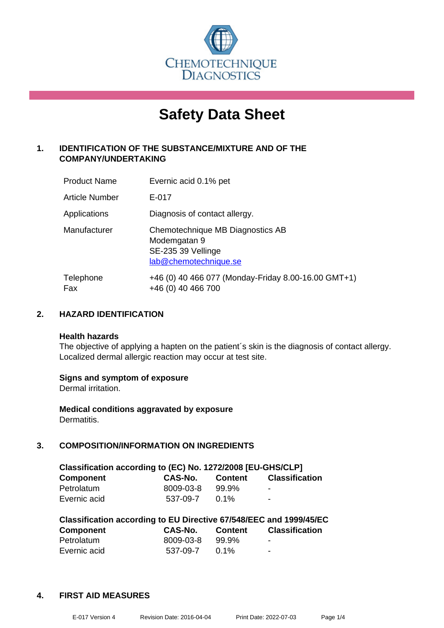

# **Safety Data Sheet**

# **1. IDENTIFICATION OF THE SUBSTANCE/MIXTURE AND OF THE COMPANY/UNDERTAKING**

| <b>Product Name</b>   | Evernic acid 0.1% pet                                                                           |
|-----------------------|-------------------------------------------------------------------------------------------------|
| <b>Article Number</b> | $E - 017$                                                                                       |
| Applications          | Diagnosis of contact allergy.                                                                   |
| Manufacturer          | Chemotechnique MB Diagnostics AB<br>Modemgatan 9<br>SE-235 39 Vellinge<br>lab@chemotechnique.se |
| Telephone<br>Fax      | +46 (0) 40 466 077 (Monday-Friday 8.00-16.00 GMT+1)<br>+46 (0) 40 466 700                       |

# **2. HAZARD IDENTIFICATION**

#### **Health hazards**

The objective of applying a hapten on the patient's skin is the diagnosis of contact allergy. Localized dermal allergic reaction may occur at test site.

#### **Signs and symptom of exposure**

Dermal irritation.

**Medical conditions aggravated by exposure** Dermatitis.

# **3. COMPOSITION/INFORMATION ON INGREDIENTS**

| Classification according to (EC) No. 1272/2008 [EU-GHS/CLP] |           |         |                       |  |
|-------------------------------------------------------------|-----------|---------|-----------------------|--|
| <b>Component</b>                                            | CAS-No.   | Content | <b>Classification</b> |  |
| Petrolatum                                                  | 8009-03-8 | 99.9%   | -                     |  |
| Evernic acid                                                | 537-09-7  | $0.1\%$ | $\blacksquare$        |  |

| Classification according to EU Directive 67/548/EEC and 1999/45/EC |           |                |                       |  |
|--------------------------------------------------------------------|-----------|----------------|-----------------------|--|
| <b>Component</b>                                                   | CAS-No.   | <b>Content</b> | <b>Classification</b> |  |
| Petrolatum                                                         | 8009-03-8 | 99.9%          | -                     |  |
| Evernic acid                                                       | 537-09-7  | $0.1\%$        | -                     |  |

#### **4. FIRST AID MEASURES**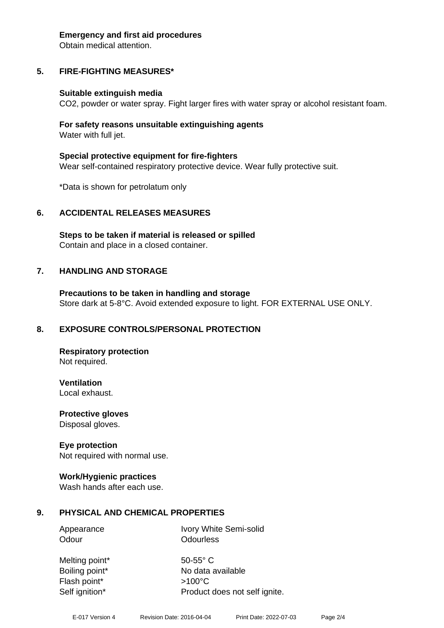#### **Emergency and first aid procedures**

Obtain medical attention.

# **5. FIRE-FIGHTING MEASURES\***

#### **Suitable extinguish media**

CO2, powder or water spray. Fight larger fires with water spray or alcohol resistant foam.

#### **For safety reasons unsuitable extinguishing agents** Water with full jet.

**Special protective equipment for fire-fighters** Wear self-contained respiratory protective device. Wear fully protective suit.

\*Data is shown for petrolatum only

#### **6. ACCIDENTAL RELEASES MEASURES**

**Steps to be taken if material is released or spilled** Contain and place in a closed container.

#### **7. HANDLING AND STORAGE**

**Precautions to be taken in handling and storage** Store dark at 5-8°C. Avoid extended exposure to light. FOR EXTERNAL USE ONLY.

#### **8. EXPOSURE CONTROLS/PERSONAL PROTECTION**

**Respiratory protection** Not required.

**Ventilation**

Local exhaust.

**Protective gloves** Disposal gloves.

#### **Eye protection**

Not required with normal use.

#### **Work/Hygienic practices**

Wash hands after each use.

#### **9. PHYSICAL AND CHEMICAL PROPERTIES**

Appearance Ivory White Semi-solid Odour **Odourless** 

Melting point\* 50-55° C Flash point\* >100°C Self ignition\* Product does not self ignite.

Boiling point\* No data available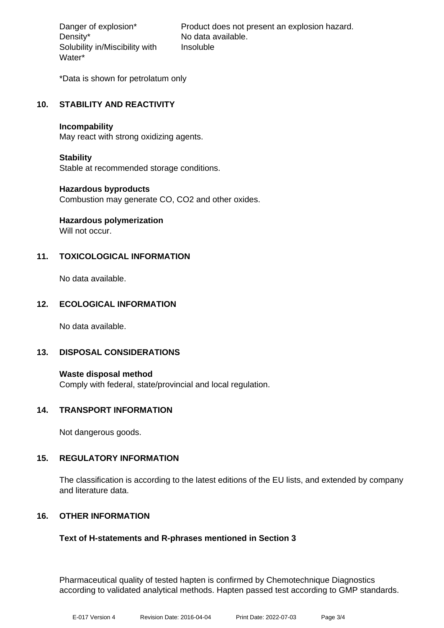Density\* No data available. Solubility in/Miscibility with Water\*

Danger of explosion\* Product does not present an explosion hazard. Insoluble

\*Data is shown for petrolatum only

### **10. STABILITY AND REACTIVITY**

#### **Incompability**

May react with strong oxidizing agents.

#### **Stability**

Stable at recommended storage conditions.

#### **Hazardous byproducts**

Combustion may generate CO, CO2 and other oxides.

# **Hazardous polymerization**

Will not occur.

# **11. TOXICOLOGICAL INFORMATION**

No data available.

#### **12. ECOLOGICAL INFORMATION**

No data available.

#### **13. DISPOSAL CONSIDERATIONS**

**Waste disposal method** Comply with federal, state/provincial and local regulation.

#### **14. TRANSPORT INFORMATION**

Not dangerous goods.

#### **15. REGULATORY INFORMATION**

The classification is according to the latest editions of the EU lists, and extended by company and literature data.

#### **16. OTHER INFORMATION**

#### **Text of H-statements and R-phrases mentioned in Section 3**

Pharmaceutical quality of tested hapten is confirmed by Chemotechnique Diagnostics according to validated analytical methods. Hapten passed test according to GMP standards.